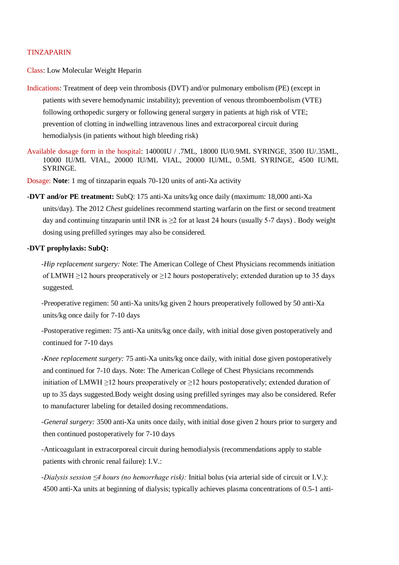### TINZAPARIN

Class: Low Molecular Weight Heparin

- Indications: Treatment of deep vein thrombosis (DVT) and/or pulmonary embolism (PE) (except in patients with severe hemodynamic instability); prevention of venous thromboembolism (VTE) following orthopedic surgery or following general surgery in patients at high risk of VTE; prevention of clotting in indwelling intravenous lines and extracorporeal circuit during hemodialysis (in patients without high bleeding risk)
- Available dosage form in the hospital: 14000IU / .7ML, 18000 IU/0.9ML SYRINGE, 3500 IU/.35ML, 10000 IU/ML VIAL, 20000 IU/ML VIAL, 20000 IU/ML, 0.5ML SYRINGE, 4500 IU/ML SYRINGE.

Dosage: **Note**: 1 mg of tinzaparin equals 70-120 units of anti-Xa activity

**-DVT and/or PE treatment:** SubQ: 175 anti-Xa units/kg once daily (maximum: 18,000 anti-Xa units/day). The 2012 *Chest* guidelines recommend starting warfarin on the first or second treatment day and continuing tinzaparin until INR is  $\geq 2$  for at least 24 hours (usually 5-7 days). Body weight dosing using prefilled syringes may also be considered.

# **-DVT prophylaxis: SubQ:**

*-Hip replacement surgery:* Note: The American College of Chest Physicians recommends initiation of LMWH  $\geq$ 12 hours preoperatively or  $\geq$ 12 hours postoperatively; extended duration up to 35 days suggested.

-Preoperative regimen: 50 anti-Xa units/kg given 2 hours preoperatively followed by 50 anti-Xa units/kg once daily for 7-10 days

-Postoperative regimen: 75 anti-Xa units/kg once daily, with initial dose given postoperatively and continued for 7-10 days

*-Knee replacement surgery:* 75 anti-Xa units/kg once daily, with initial dose given postoperatively and continued for 7-10 days. Note: The American College of Chest Physicians recommends initiation of LMWH  $\geq$ 12 hours preoperatively or  $\geq$ 12 hours postoperatively; extended duration of up to 35 days suggested.Body weight dosing using prefilled syringes may also be considered. Refer to manufacturer labeling for detailed dosing recommendations.

*-General surgery:* 3500 anti-Xa units once daily, with initial dose given 2 hours prior to surgery and then continued postoperatively for 7-10 days

-Anticoagulant in extracorporeal circuit during hemodialysis (recommendations apply to stable patients with chronic renal failure): I.V.:

*-Dialysis session ≤4 hours (no hemorrhage risk):* Initial bolus (via arterial side of circuit or I.V.): 4500 anti-Xa units at beginning of dialysis; typically achieves plasma concentrations of 0.5-1 anti